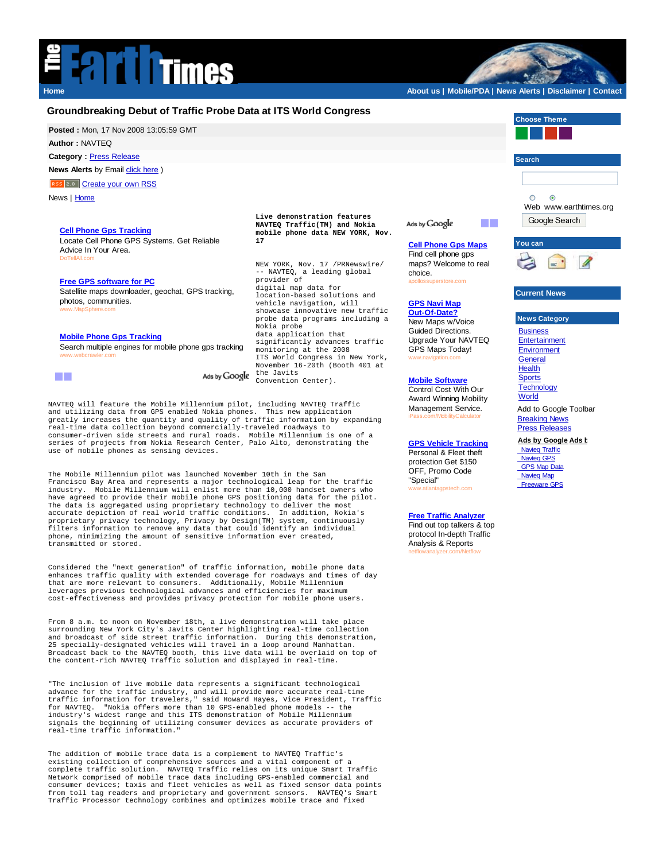

**Home About us | Mobile/PDA | News Alerts | Disclaimer | Contact**

## **Groundbreaking Debut of Traffic Probe Data at ITS World Congress Choose Theme Posted :** Mon, 17 Nov 2008 13:05:59 GMT **Author :** NAVTEQ **Category :** Press Release **Search News Alerts** by Email *click* here ) RSS 2.0 Create your own RSS News | Home  $\circ$  $\odot$ Web www.earthtimes.org **Live demonstration features**  Google Search **NAVTEQ Traffic(TM) and Nokia**  Ads by Google **Cell Phone Gps Tracking mobile phone data NEW YORK, Nov.**  Locate Cell Phone GPS Systems. Get Reliable **17 Cell Phone Gps Maps You can** Advice In Your Area. Find cell phone gps DoTellAll.com maps? Welcome to real NEW YORK, Nov. 17 /PRNewswire/ -- NAVTEQ, a leading global choice. provider of **Free GPS software for PC** *rotore*.com digital map data for Satellite maps downloader, geochat, GPS tracking, **Current News** location-based solutions and photos, communities. vehicle navigation, will **GPS Navi Map** www.MapSphere.com showcase innovative new traffic **Out-Of-Date? News Category** probe data programs including a New Maps w/Voice Nokia probe Guided Directions. **Business** data application that<br>significantly advances traffic **Mobile Phone Gps Tracking** Upgrade Your NAVTEQ **Entertainment** Search multiple engines for mobile phone gps tracking monitoring at the 2008 GPS Maps Today! **Environment** www.webcrawler.com ITS World Congress in New York, **General** www.navigation.com November 16-20th (Booth 401 at Health the Javits Ads by Google n T **Sports** Convention Center). **Mobile Software Technology** Control Cost With Our

NAVTEQ will feature the Mobile Millennium pilot, including NAVTEQ Traffic and utilizing data from GPS enabled Nokia phones. This new application greatly increases the quantity and quality of traffic information by expanding real-time data collection beyond commercially-traveled roadways to consumer-driven side streets and rural roads. Mobile Millennium is one of a series of projects from Nokia Research Center, Palo Alto, demonstrating the use of mobile phones as sensing devices.

The Mobile Millennium pilot was launched November 10th in the San Francisco Bay Area and represents a major technological leap for the traffic industry. Mobile Millennium will enlist more than 10,000 handset owners who have agreed to provide their mobile phone GPS positioning data for the pilot. The data is aggregated using proprietary technology to deliver the most accurate depiction of real world traffic conditions. In addition, Nokia's proprietary privacy technology, Privacy by Design(TM) system, continuously filters information to remove any data that could identify an individual phone, minimizing the amount of sensitive information ever created, transmitted or stored.

Considered the "next generation" of traffic information, mobile phone data enhances traffic quality with extended coverage for roadways and times of day that are more relevant to consumers. Additionally, Mobile Millennium leverages previous technological advances and efficiencies for maximum cost-effectiveness and provides privacy protection for mobile phone users.

From 8 a.m. to noon on November 18th, a live demonstration will take place surrounding New York City's Javits Center highlighting real-time collection<br>and broadcast of side street traffic information. During this demonstration, and broadcast of side street traffic information. 25 specially-designated vehicles will travel in a loop around Manhattan. Broadcast back to the NAVTEQ booth, this live data will be overlaid on top of the content-rich NAVTEQ Traffic solution and displayed in real-time.

"The inclusion of live mobile data represents a significant technological advance for the traffic industry, and will provide more accurate real-time traffic information for travelers," said Howard Hayes, Vice President, Traffic for NAVTEQ. "Nokia offers more than 10 GPS-enabled phone models -- the industry's widest range and this ITS demonstration of Mobile Millennium signals the beginning of utilizing consumer devices as accurate providers of real-time traffic information."

The addition of mobile trace data is a complement to NAVTEQ Traffic's existing collection of comprehensive sources and a vital component of a complete traffic solution. NAVTEQ Traffic relies on its unique Smart Traffic Network comprised of mobile trace data including GPS-enabled commercial and consumer devices; taxis and fleet vehicles as well as fixed sensor data points from toll tag readers and proprietary and government sensors. NAVTEQ's Smart Traffic Processor technology combines and optimizes mobile trace and fixed

Award Winning Mobility Management Service. iPass.com/MobilityCalculator

**GPS Vehicle Tracking** Personal & Fleet theft protection Get \$150 OFF, Promo Code "Special" www.atlantagpstech.com

Find out top talkers & top

**World** Add to Google Toolbar **Breaking News** Press Releases **Ads by Google Ads b**

**Navteq Traffic**  Navteq GPS **GPS Map Data Navteq Map** 

Freeware GPS

**Free Traffic Analyzer**

protocol In-depth Traffic Analysis & Reports netflowanalyzer.com/Netflow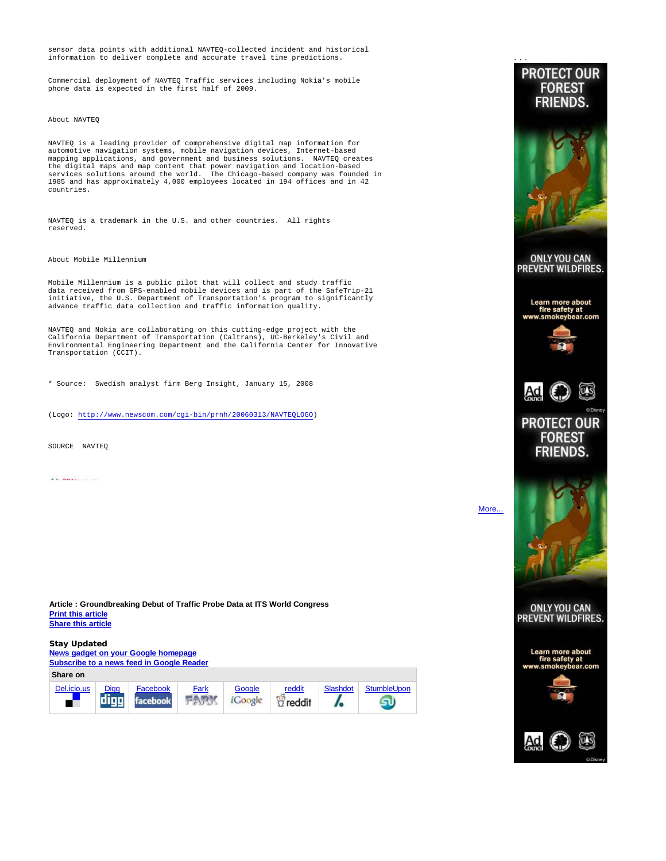sensor data points with additional NAVTEQ-collected incident and historical information to deliver complete and accurate travel time predictions.

Commercial deployment of NAVTEQ Traffic services including Nokia's mobile phone data is expected in the first half of 2009.

## About NAVTEQ

NAVTEQ is a leading provider of comprehensive digital map information for automotive navigation systems, mobile navigation devices, Internet-based mapping applications, and government and business solutions. NAVTEQ creates the digital maps and map content that power navigation and location-based services solutions around the world. The Chicago-based company was founded in 1985 and has approximately 4,000 employees located in 194 offices and in 42 countries.

NAVTEQ is a trademark in the U.S. and other countries. All rights reserved.

## About Mobile Millennium

Mobile Millennium is a public pilot that will collect and study traffic data received from GPS-enabled mobile devices and is part of the SafeTrip-21 initiative, the U.S. Department of Transportation's program to significantly advance traffic data collection and traffic information quality.

NAVTEQ and Nokia are collaborating on this cutting-edge project with the California Department of Transportation (Caltrans), UC-Berkeley's Civil and Environmental Engineering Department and the California Center for Innovative Transportation (CCIT).

\* Source: Swedish analyst firm Berg Insight, January 15, 2008

(Logo: http://www.newscom.com/cgi-bin/prnh/20060313/NAVTEQLOGO)

SOURCE NAVTEQ

 $\frac{1}{2}$  is presented in the set of  $\frac{1}{2}$ 

**Article : Groundbreaking Debut of Traffic Probe Data at ITS World Congress Print this article Share this article**

**Stay Updated News gadget on your Google homepage Subscribe to a news feed in Google Reader Share on** Del.icio.us Digg Facebook Fark Google reddit Slashdot StumbleUpon digg FARK *i*Coogle facebook I.  $\alpha$  reddit **FOR** 



More...

SU